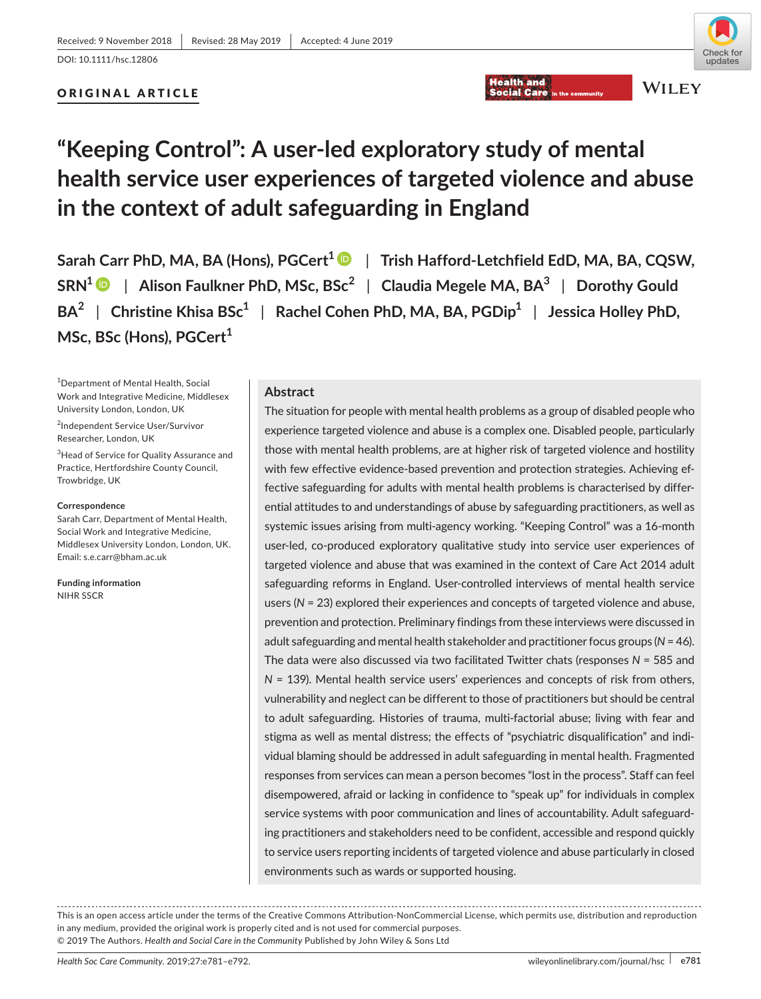# **Health and**

**Social Care** 

# Check for undates

# ORIGINAL ARTICLE



**WILEY** 

# **"Keeping Control": A user‐led exploratory study of mental health service user experiences of targeted violence and abuse in the context of adult safeguarding in England**

**Sarah Carr PhD, MA, BA (Hons), PGCert<sup>1</sup> ■ | Trish Hafford-Letchfield EdD, MA, BA, CQSW, SRN1** | **Alison Faulkner PhD, MSc, BSc<sup>2</sup>** | **Claudia Megele MA, BA3** | **Dorothy Gould BA<sup>2</sup>** | **Christine Khisa BSc1** | **Rachel Cohen PhD, MA, BA, PGDip1** | **Jessica Holley PhD,**  MSc, BSc (Hons), PGCert<sup>1</sup>

1 Department of Mental Health, Social Work and Integrative Medicine, Middlesex University London, London, UK

2 Independent Service User/Survivor Researcher, London, UK

 $^3$ Head of Service for Quality Assurance and Practice, Hertfordshire County Council, Trowbridge, UK

#### **Correspondence**

Sarah Carr, Department of Mental Health, Social Work and Integrative Medicine, Middlesex University London, London, UK. Email: [s.e.carr@bham.ac.uk](mailto:s.e.carr@bham.ac.uk)

**Funding information** NIHR SSCR

# **Abstract**

The situation for people with mental health problems as a group of disabled people who experience targeted violence and abuse is a complex one. Disabled people, particularly those with mental health problems, are at higher risk of targeted violence and hostility with few effective evidence-based prevention and protection strategies. Achieving effective safeguarding for adults with mental health problems is characterised by differ‐ ential attitudes to and understandings of abuse by safeguarding practitioners, as well as systemic issues arising from multi‐agency working. "Keeping Control" was a 16‐month user-led, co-produced exploratory qualitative study into service user experiences of targeted violence and abuse that was examined in the context of Care Act 2014 adult safeguarding reforms in England. User-controlled interviews of mental health service users (*N* = 23) explored their experiences and concepts of targeted violence and abuse, prevention and protection. Preliminary findings from these interviews were discussed in adult safeguarding and mental health stakeholder and practitionerfocus groups (*N* = 46). The data were also discussed via two facilitated Twitter chats (responses *N* = 585 and *N* = 139). Mental health service users' experiences and concepts of risk from others, vulnerability and neglect can be different to those of practitioners but should be central to adult safeguarding. Histories of trauma, multi-factorial abuse; living with fear and stigma as well as mental distress; the effects of "psychiatric disqualification" and indi‐ vidual blaming should be addressed in adult safeguarding in mental health. Fragmented responses from services can mean a person becomes "lost in the process". Staff can feel disempowered, afraid or lacking in confidence to "speak up" for individuals in complex service systems with poor communication and lines of accountability. Adult safeguard‐ ing practitioners and stakeholders need to be confident, accessible and respond quickly to service users reporting incidents of targeted violence and abuse particularly in closed environments such as wards or supported housing.

This is an open access article under the terms of the Creative Commons [Attribution‐NonCommercial](http://creativecommons.org/licenses/by-nc/4.0/) License, which permits use, distribution and reproduction in any medium, provided the original work is properly cited and is not used for commercial purposes. © 2019 The Authors. *Health and Social Care in the Community* Published by John Wiley & Sons Ltd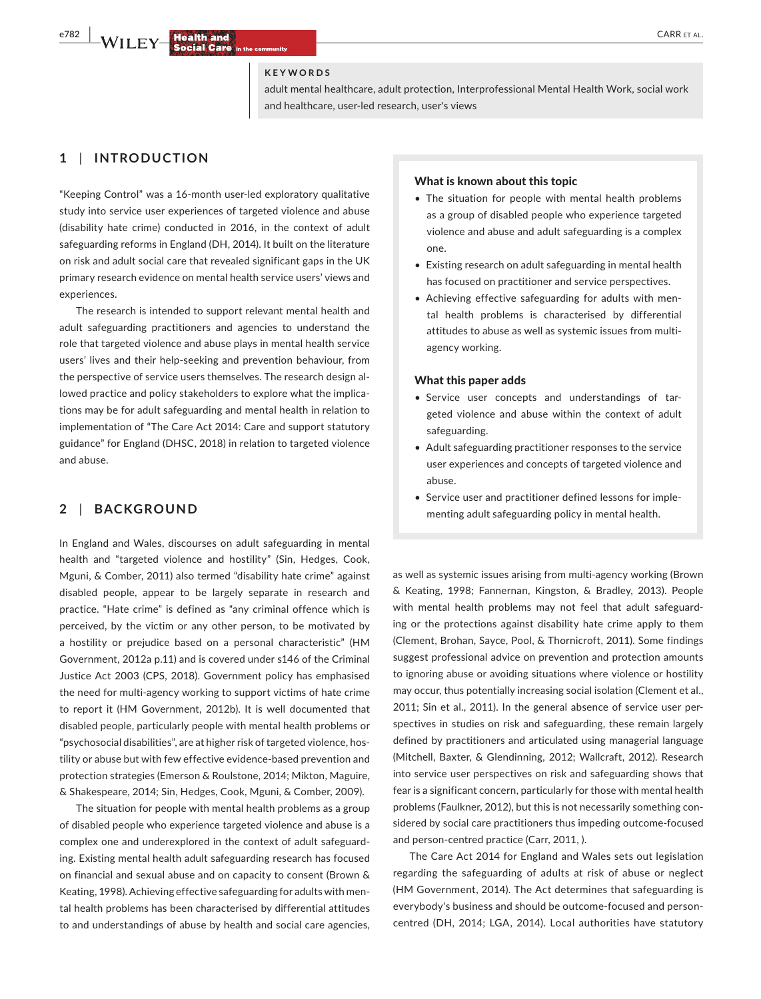#### **KEYWORDS**

adult mental healthcare, adult protection, Interprofessional Mental Health Work, social work and healthcare, user‐led research, user's views

## **1** | **INTRODUCTION**

"Keeping Control" was a 16‐month user‐led exploratory qualitative study into service user experiences of targeted violence and abuse (disability hate crime) conducted in 2016, in the context of adult safeguarding reforms in England (DH, 2014). It built on the literature on risk and adult social care that revealed significant gaps in the UK primary research evidence on mental health service users' views and experiences.

The research is intended to support relevant mental health and adult safeguarding practitioners and agencies to understand the role that targeted violence and abuse plays in mental health service users' lives and their help‐seeking and prevention behaviour, from the perspective of service users themselves. The research design al‐ lowed practice and policy stakeholders to explore what the implications may be for adult safeguarding and mental health in relation to implementation of "The Care Act 2014: Care and support statutory guidance" for England (DHSC, 2018) in relation to targeted violence and abuse.

## **2** | **BACKGROUND**

In England and Wales, discourses on adult safeguarding in mental health and "targeted violence and hostility" (Sin, Hedges, Cook, Mguni, & Comber, 2011) also termed "disability hate crime" against disabled people, appear to be largely separate in research and practice. "Hate crime" is defined as "any criminal offence which is perceived, by the victim or any other person, to be motivated by a hostility or prejudice based on a personal characteristic" (HM Government, 2012a p.11) and is covered under s146 of the Criminal Justice Act 2003 (CPS, 2018). Government policy has emphasised the need for multi-agency working to support victims of hate crime to report it (HM Government, 2012b). It is well documented that disabled people, particularly people with mental health problems or "psychosocial disabilities", are at higher risk of targeted violence, hos‐ tility or abuse but with few effective evidence‐based prevention and protection strategies (Emerson & Roulstone, 2014; Mikton, Maguire, & Shakespeare, 2014; Sin, Hedges, Cook, Mguni, & Comber, 2009).

The situation for people with mental health problems as a group of disabled people who experience targeted violence and abuse is a complex one and underexplored in the context of adult safeguard‐ ing. Existing mental health adult safeguarding research has focused on financial and sexual abuse and on capacity to consent (Brown & Keating, 1998). Achieving effective safeguarding for adults with men‐ tal health problems has been characterised by differential attitudes to and understandings of abuse by health and social care agencies,

#### What is known about this topic

- The situation for people with mental health problems as a group of disabled people who experience targeted violence and abuse and adult safeguarding is a complex one.
- Existing research on adult safeguarding in mental health has focused on practitioner and service perspectives.
- Achieving effective safeguarding for adults with mental health problems is characterised by differential attitudes to abuse as well as systemic issues from multi‐ agency working.

#### What this paper adds

- Service user concepts and understandings of targeted violence and abuse within the context of adult safeguarding.
- Adult safeguarding practitioner responses to the service user experiences and concepts of targeted violence and abuse.
- Service user and practitioner defined lessons for implementing adult safeguarding policy in mental health.

as well as systemic issues arising from multi‐agency working (Brown & Keating, 1998; Fannernan, Kingston, & Bradley, 2013). People with mental health problems may not feel that adult safeguard‐ ing or the protections against disability hate crime apply to them (Clement, Brohan, Sayce, Pool, & Thornicroft, 2011). Some findings suggest professional advice on prevention and protection amounts to ignoring abuse or avoiding situations where violence or hostility may occur, thus potentially increasing social isolation (Clement et al., 2011; Sin et al., 2011). In the general absence of service user per‐ spectives in studies on risk and safeguarding, these remain largely defined by practitioners and articulated using managerial language (Mitchell, Baxter, & Glendinning, 2012; Wallcraft, 2012). Research into service user perspectives on risk and safeguarding shows that fear is a significant concern, particularly for those with mental health problems (Faulkner, 2012), but this is not necessarily something considered by social care practitioners thus impeding outcome‐focused and person‐centred practice (Carr, 2011, ).

The Care Act 2014 for England and Wales sets out legislation regarding the safeguarding of adults at risk of abuse or neglect (HM Government, 2014). The Act determines that safeguarding is everybody's business and should be outcome‐focused and person‐ centred (DH, 2014; LGA, 2014). Local authorities have statutory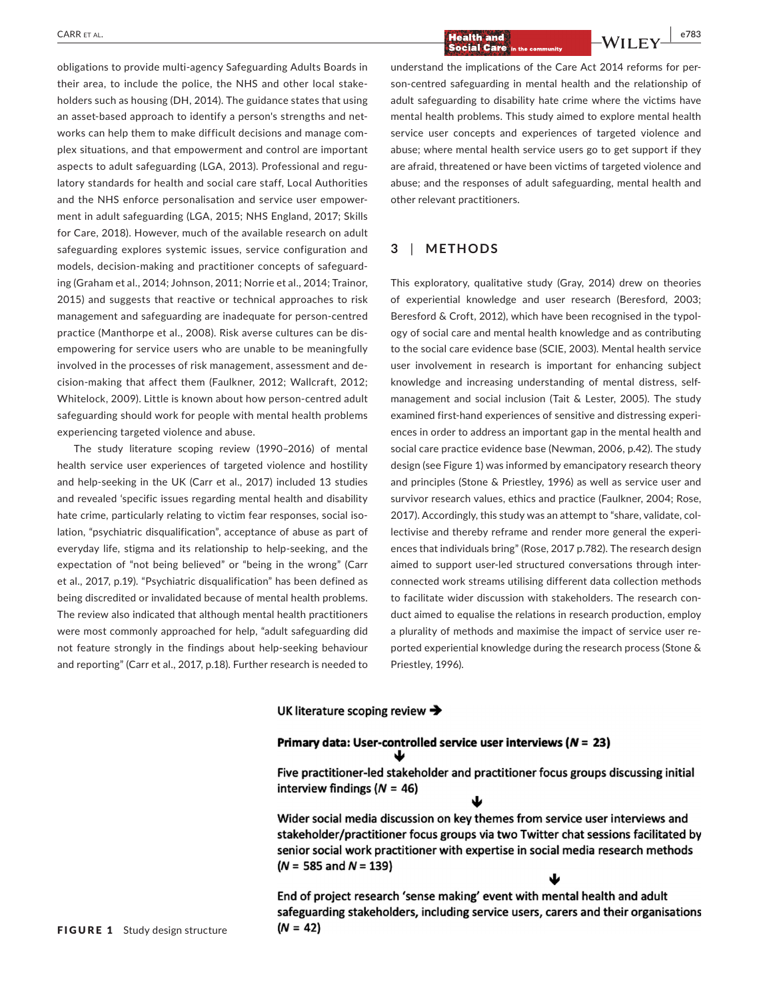obligations to provide multi‐agency Safeguarding Adults Boards in their area, to include the police, the NHS and other local stake‐ holders such as housing (DH, 2014). The guidance states that using an asset-based approach to identify a person's strengths and networks can help them to make difficult decisions and manage com‐ plex situations, and that empowerment and control are important aspects to adult safeguarding (LGA, 2013). Professional and regu‐ latory standards for health and social care staff, Local Authorities and the NHS enforce personalisation and service user empower‐ ment in adult safeguarding (LGA, 2015; NHS England, 2017; Skills for Care, 2018). However, much of the available research on adult safeguarding explores systemic issues, service configuration and models, decision‐making and practitioner concepts of safeguard‐ ing (Graham et al., 2014; Johnson, 2011; Norrie et al., 2014; Trainor, 2015) and suggests that reactive or technical approaches to risk management and safeguarding are inadequate for person‐centred practice (Manthorpe et al., 2008). Risk averse cultures can be dis‐ empowering for service users who are unable to be meaningfully involved in the processes of risk management, assessment and de‐ cision‐making that affect them (Faulkner, 2012; Wallcraft, 2012; Whitelock, 2009). Little is known about how person‐centred adult safeguarding should work for people with mental health problems experiencing targeted violence and abuse.

The study literature scoping review (1990–2016) of mental health service user experiences of targeted violence and hostility and help‐seeking in the UK (Carr et al., 2017) included 13 studies and revealed 'specific issues regarding mental health and disability hate crime, particularly relating to victim fear responses, social isolation, "psychiatric disqualification", acceptance of abuse as part of everyday life, stigma and its relationship to help‐seeking, and the expectation of "not being believed" or "being in the wrong" (Carr et al., 2017, p.19). "Psychiatric disqualification" has been defined as being discredited or invalidated because of mental health problems. The review also indicated that although mental health practitioners were most commonly approached for help, "adult safeguarding did not feature strongly in the findings about help‐seeking behaviour and reporting" (Carr et al., 2017, p.18). Further research is needed to

 **|** CARR et al. **e783**

understand the implications of the Care Act 2014 reforms for per‐ son‐centred safeguarding in mental health and the relationship of adult safeguarding to disability hate crime where the victims have mental health problems. This study aimed to explore mental health service user concepts and experiences of targeted violence and abuse; where mental health service users go to get support if they are afraid, threatened or have been victims of targeted violence and abuse; and the responses of adult safeguarding, mental health and other relevant practitioners.

# **3** | **METHODS**

This exploratory, qualitative study (Gray, 2014) drew on theories of experiential knowledge and user research (Beresford, 2003; Beresford & Croft, 2012), which have been recognised in the typology of social care and mental health knowledge and as contributing to the social care evidence base (SCIE, 2003). Mental health service user involvement in research is important for enhancing subject knowledge and increasing understanding of mental distress, self‐ management and social inclusion (Tait & Lester, 2005). The study examined first-hand experiences of sensitive and distressing experiences in order to address an important gap in the mental health and social care practice evidence base (Newman, 2006, p.42). The study design (see Figure 1) was informed by emancipatory research theory and principles (Stone & Priestley, 1996) as well as service user and survivor research values, ethics and practice (Faulkner, 2004; Rose, 2017). Accordingly, this study was an attempt to "share, validate, col‐ lectivise and thereby reframe and render more general the experi‐ ences that individuals bring" (Rose, 2017 p.782). The research design aimed to support user-led structured conversations through interconnected work streams utilising different data collection methods to facilitate wider discussion with stakeholders. The research con‐ duct aimed to equalise the relations in research production, employ a plurality of methods and maximise the impact of service user re‐ ported experiential knowledge during the research process (Stone & Priestley, 1996).

#### UK literature scoping review  $\rightarrow$

# Primary data: User-controlled service user interviews ( $N = 23$ )

Five practitioner-led stakeholder and practitioner focus groups discussing initial interview findings ( $N = 46$ )

Wider social media discussion on key themes from service user interviews and stakeholder/practitioner focus groups via two Twitter chat sessions facilitated by senior social work practitioner with expertise in social media research methods  $(N = 585$  and  $N = 139$ )

End of project research 'sense making' event with mental health and adult safeguarding stakeholders, including service users, carers and their organisations  $(N = 42)$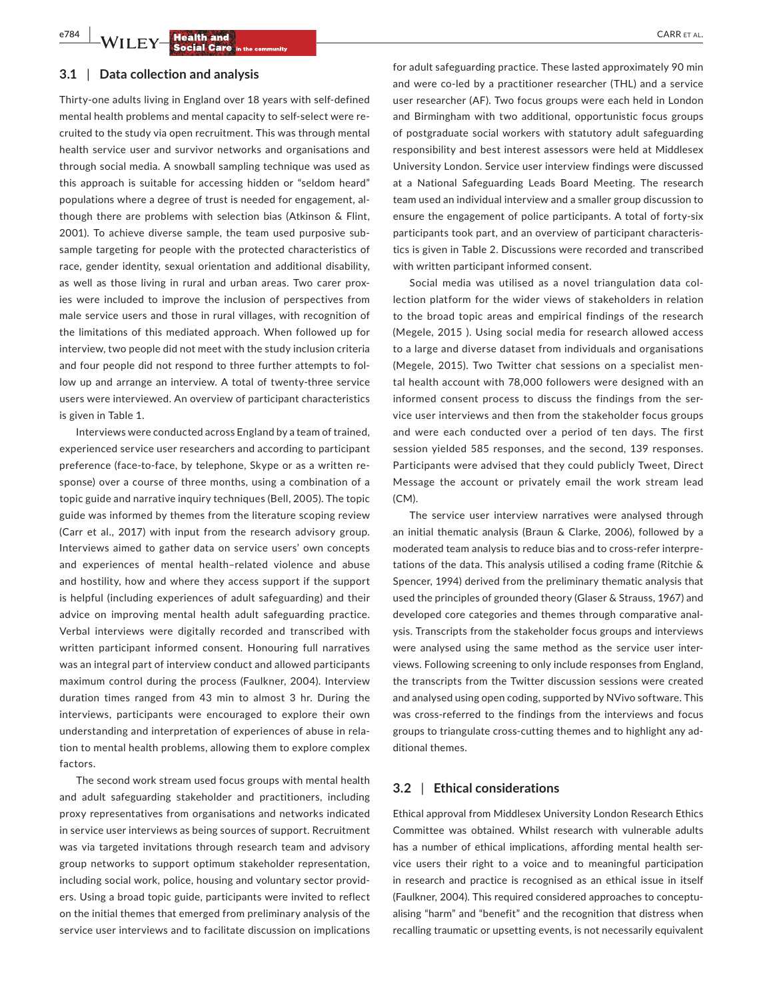#### **3.1** | **Data collection and analysis**

Thirty‐one adults living in England over 18 years with self‐defined mental health problems and mental capacity to self-select were recruited to the study via open recruitment. This was through mental health service user and survivor networks and organisations and through social media. A snowball sampling technique was used as this approach is suitable for accessing hidden or "seldom heard" populations where a degree of trust is needed for engagement, al‐ though there are problems with selection bias (Atkinson & Flint, 2001). To achieve diverse sample, the team used purposive sub‐ sample targeting for people with the protected characteristics of race, gender identity, sexual orientation and additional disability, as well as those living in rural and urban areas. Two carer proxies were included to improve the inclusion of perspectives from male service users and those in rural villages, with recognition of the limitations of this mediated approach. When followed up for interview, two people did not meet with the study inclusion criteria and four people did not respond to three further attempts to fol‐ low up and arrange an interview. A total of twenty-three service users were interviewed. An overview of participant characteristics is given in Table 1.

Interviews were conducted across England by a team of trained, experienced service user researchers and according to participant preference (face-to-face, by telephone, Skype or as a written response) over a course of three months, using a combination of a topic guide and narrative inquiry techniques (Bell, 2005). The topic guide was informed by themes from the literature scoping review (Carr et al., 2017) with input from the research advisory group. Interviews aimed to gather data on service users' own concepts and experiences of mental health–related violence and abuse and hostility, how and where they access support if the support is helpful (including experiences of adult safeguarding) and their advice on improving mental health adult safeguarding practice. Verbal interviews were digitally recorded and transcribed with written participant informed consent. Honouring full narratives was an integral part of interview conduct and allowed participants maximum control during the process (Faulkner, 2004). Interview duration times ranged from 43 min to almost 3 hr. During the interviews, participants were encouraged to explore their own understanding and interpretation of experiences of abuse in rela‐ tion to mental health problems, allowing them to explore complex factors.

The second work stream used focus groups with mental health and adult safeguarding stakeholder and practitioners, including proxy representatives from organisations and networks indicated in service user interviews as being sources of support. Recruitment was via targeted invitations through research team and advisory group networks to support optimum stakeholder representation, including social work, police, housing and voluntary sector provid‐ ers. Using a broad topic guide, participants were invited to reflect on the initial themes that emerged from preliminary analysis of the service user interviews and to facilitate discussion on implications

for adult safeguarding practice. These lasted approximately 90 min and were co-led by a practitioner researcher (THL) and a service user researcher (AF). Two focus groups were each held in London and Birmingham with two additional, opportunistic focus groups of postgraduate social workers with statutory adult safeguarding responsibility and best interest assessors were held at Middlesex University London. Service user interview findings were discussed at a National Safeguarding Leads Board Meeting. The research team used an individual interview and a smaller group discussion to ensure the engagement of police participants. A total of forty‐six participants took part, and an overview of participant characteris‐ tics is given in Table 2. Discussions were recorded and transcribed with written participant informed consent.

Social media was utilised as a novel triangulation data col‐ lection platform for the wider views of stakeholders in relation to the broad topic areas and empirical findings of the research (Megele, 2015 ). Using social media for research allowed access to a large and diverse dataset from individuals and organisations (Megele, 2015). Two Twitter chat sessions on a specialist men‐ tal health account with 78,000 followers were designed with an informed consent process to discuss the findings from the service user interviews and then from the stakeholder focus groups and were each conducted over a period of ten days. The first session yielded 585 responses, and the second, 139 responses. Participants were advised that they could publicly Tweet, Direct Message the account or privately email the work stream lead (CM).

The service user interview narratives were analysed through an initial thematic analysis (Braun & Clarke, 2006), followed by a moderated team analysis to reduce bias and to cross‐refer interpre‐ tations of the data. This analysis utilised a coding frame (Ritchie & Spencer, 1994) derived from the preliminary thematic analysis that used the principles of grounded theory (Glaser & Strauss, 1967) and developed core categories and themes through comparative anal‐ ysis. Transcripts from the stakeholder focus groups and interviews were analysed using the same method as the service user inter‐ views. Following screening to only include responses from England, the transcripts from the Twitter discussion sessions were created and analysed using open coding, supported by NVivo software. This was cross-referred to the findings from the interviews and focus groups to triangulate cross‐cutting themes and to highlight any ad‐ ditional themes.

# **3.2** | **Ethical considerations**

Ethical approval from Middlesex University London Research Ethics Committee was obtained. Whilst research with vulnerable adults has a number of ethical implications, affording mental health service users their right to a voice and to meaningful participation in research and practice is recognised as an ethical issue in itself (Faulkner, 2004). This required considered approaches to conceptu‐ alising "harm" and "benefit" and the recognition that distress when recalling traumatic or upsetting events, is not necessarily equivalent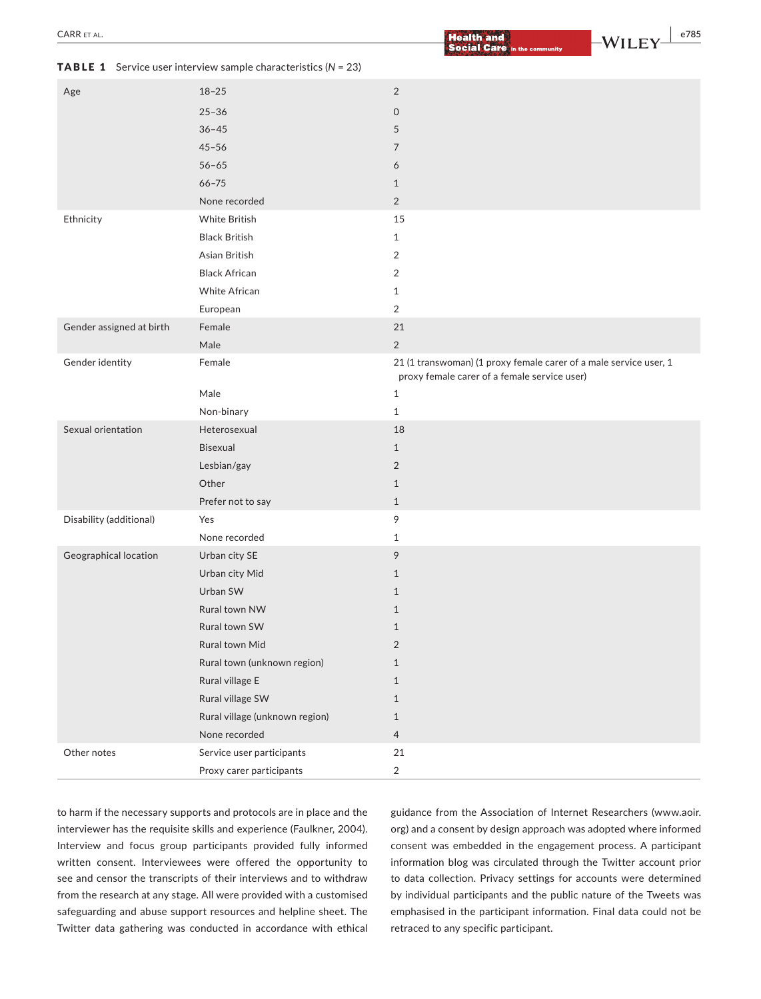| Age                      | $18 - 25$                      | $\sqrt{2}$                                                                                                        |
|--------------------------|--------------------------------|-------------------------------------------------------------------------------------------------------------------|
|                          | $25 - 36$                      |                                                                                                                   |
|                          | $36 - 45$                      | 0                                                                                                                 |
|                          |                                | 5                                                                                                                 |
|                          | $45 - 56$                      | 7                                                                                                                 |
|                          | $56 - 65$                      | 6                                                                                                                 |
|                          | $66 - 75$                      | $\mathbf{1}$                                                                                                      |
|                          | None recorded                  | $\overline{2}$                                                                                                    |
| Ethnicity                | <b>White British</b>           | 15                                                                                                                |
|                          | <b>Black British</b>           | $\mathbf{1}$                                                                                                      |
|                          | Asian British                  | 2                                                                                                                 |
|                          | <b>Black African</b>           | $\overline{2}$                                                                                                    |
|                          | <b>White African</b>           | $\mathbf{1}$                                                                                                      |
|                          | European                       | $\overline{2}$                                                                                                    |
| Gender assigned at birth | Female                         | 21                                                                                                                |
|                          | Male                           | $\overline{2}$                                                                                                    |
| Gender identity          | Female                         | 21 (1 transwoman) (1 proxy female carer of a male service user, 1<br>proxy female carer of a female service user) |
|                          | Male                           | $\mathbf{1}$                                                                                                      |
|                          | Non-binary                     | $\mathbf{1}$                                                                                                      |
| Sexual orientation       | Heterosexual                   | 18                                                                                                                |
|                          | <b>Bisexual</b>                | $\mathbf{1}$                                                                                                      |
|                          | Lesbian/gay                    | $\overline{2}$                                                                                                    |
|                          | Other                          | $\mathbf{1}$                                                                                                      |
|                          | Prefer not to say              | $\mathbf{1}$                                                                                                      |
| Disability (additional)  | Yes                            | 9                                                                                                                 |
|                          | None recorded                  | $\mathbf{1}$                                                                                                      |
| Geographical location    | Urban city SE                  | 9                                                                                                                 |
|                          | Urban city Mid                 | $\mathbf{1}$                                                                                                      |
|                          | Urban SW                       | $\mathbf{1}$                                                                                                      |
|                          | Rural town NW                  | $\mathbf{1}$                                                                                                      |
|                          | Rural town SW                  | $\mathbf{1}$                                                                                                      |
|                          | Rural town Mid                 | $\overline{2}$                                                                                                    |
|                          | Rural town (unknown region)    | $\mathbf{1}$                                                                                                      |
|                          | Rural village E                | $\mathbf{1}$                                                                                                      |
|                          | Rural village SW               | $\mathbf{1}$                                                                                                      |
|                          | Rural village (unknown region) | $1\,$                                                                                                             |
|                          | None recorded                  | $\overline{4}$                                                                                                    |
| Other notes              | Service user participants      | 21                                                                                                                |
|                          |                                |                                                                                                                   |
|                          | Proxy carer participants       | $\overline{2}$                                                                                                    |

TABLE 1 Service user interview sample characteristics (*N* = 23)

to harm if the necessary supports and protocols are in place and the interviewer has the requisite skills and experience (Faulkner, 2004). Interview and focus group participants provided fully informed written consent. Interviewees were offered the opportunity to see and censor the transcripts of their interviews and to withdraw from the research at any stage. All were provided with a customised safeguarding and abuse support resources and helpline sheet. The Twitter data gathering was conducted in accordance with ethical guidance from the Association of Internet Researchers [\(www.aoir.](http://www.aoir.org) [org\)](http://www.aoir.org) and a consent by design approach was adopted where informed consent was embedded in the engagement process. A participant information blog was circulated through the Twitter account prior to data collection. Privacy settings for accounts were determined by individual participants and the public nature of the Tweets was emphasised in the participant information. Final data could not be retraced to any specific participant.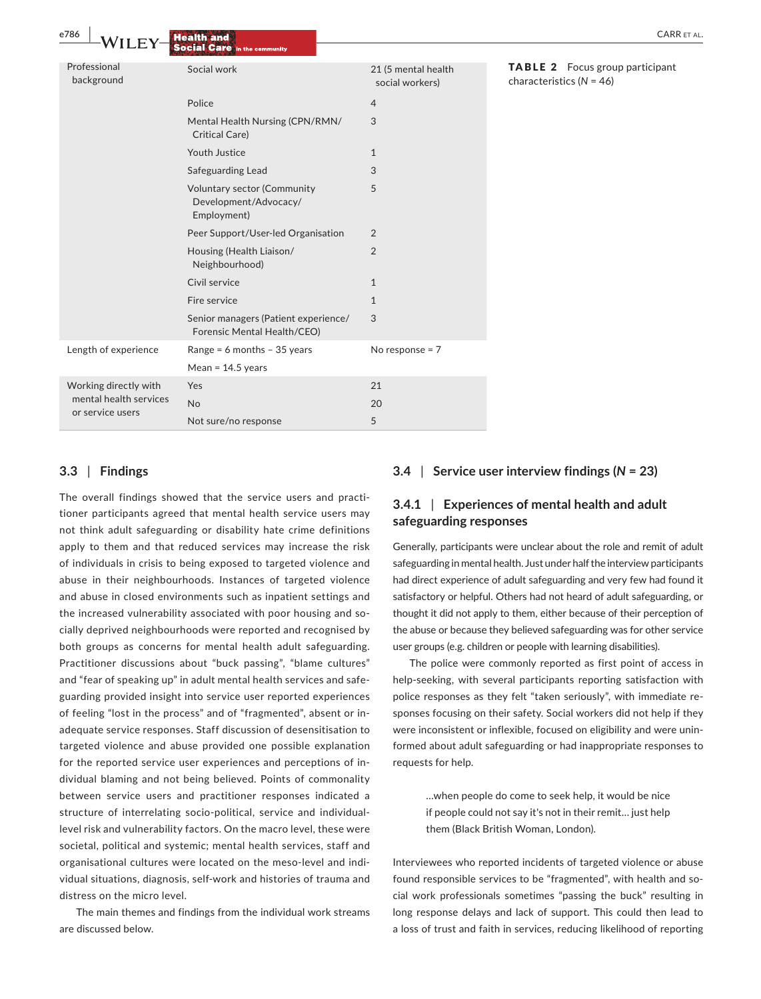| e786<br>WILE                                                        | <b>Health and</b><br><b>Social Care in the community</b>            |                                        | <b>CARR ET AL</b>                                                      |
|---------------------------------------------------------------------|---------------------------------------------------------------------|----------------------------------------|------------------------------------------------------------------------|
| Professional<br>background                                          | Social work                                                         | 21 (5 mental health<br>social workers) | <b>TABLE 2</b> Focus group participant<br>characteristics ( $N = 46$ ) |
|                                                                     | Police                                                              | $\overline{4}$                         |                                                                        |
|                                                                     | Mental Health Nursing (CPN/RMN/<br>Critical Care)                   | 3                                      |                                                                        |
|                                                                     | Youth Justice                                                       | $\mathbf{1}$                           |                                                                        |
|                                                                     | Safeguarding Lead                                                   | 3                                      |                                                                        |
|                                                                     | Voluntary sector (Community<br>Development/Advocacy/<br>Employment) | 5                                      |                                                                        |
|                                                                     | Peer Support/User-led Organisation                                  | $\overline{2}$                         |                                                                        |
|                                                                     | Housing (Health Liaison/<br>Neighbourhood)                          | $\overline{2}$                         |                                                                        |
|                                                                     | Civil service                                                       | $\mathbf{1}$                           |                                                                        |
|                                                                     | Fire service                                                        | $\mathbf{1}$                           |                                                                        |
|                                                                     | Senior managers (Patient experience/<br>Forensic Mental Health/CEO) | 3                                      |                                                                        |
| Length of experience                                                | Range = $6$ months - 35 years                                       | No response = $7$                      |                                                                        |
|                                                                     | Mean = $14.5$ years                                                 |                                        |                                                                        |
| Working directly with<br>mental health services<br>or service users | Yes                                                                 | 21                                     |                                                                        |
|                                                                     | No                                                                  | 20                                     |                                                                        |
|                                                                     | Not sure/no response                                                | 5                                      |                                                                        |

#### **ABLE 2** Focus group participant aracteristics (*N* = 46)

# **3.3** | **Findings**

The overall findings showed that the service users and practi‐ tioner participants agreed that mental health service users may not think adult safeguarding or disability hate crime definitions apply to them and that reduced services may increase the risk of individuals in crisis to being exposed to targeted violence and abuse in their neighbourhoods. Instances of targeted violence and abuse in closed environments such as inpatient settings and the increased vulnerability associated with poor housing and socially deprived neighbourhoods were reported and recognised by both groups as concerns for mental health adult safeguarding. Practitioner discussions about "buck passing", "blame cultures" and "fear of speaking up" in adult mental health services and safe‐ guarding provided insight into service user reported experiences of feeling "lost in the process" and of "fragmented", absent or in‐ adequate service responses. Staff discussion of desensitisation to targeted violence and abuse provided one possible explanation for the reported service user experiences and perceptions of in‐ dividual blaming and not being believed. Points of commonality between service users and practitioner responses indicated a structure of interrelating socio-political, service and individuallevel risk and vulnerability factors. On the macro level, these were societal, political and systemic; mental health services, staff and organisational cultures were located on the meso‐level and indi‐ vidual situations, diagnosis, self‐work and histories of trauma and distress on the micro level.

The main themes and findings from the individual work streams are discussed below.

## **3.4** | **Service user interview findings (***N* **= 23)**

# **3.4.1** | **Experiences of mental health and adult safeguarding responses**

Generally, participants were unclear about the role and remit of adult safeguarding in mental health. Just under half the interview participants had direct experience of adult safeguarding and very few had found it satisfactory or helpful. Others had not heard of adult safeguarding, or thought it did not apply to them, either because of their perception of the abuse or because they believed safeguarding was for other service user groups (e.g. children or people with learning disabilities).

The police were commonly reported as first point of access in help-seeking, with several participants reporting satisfaction with police responses as they felt "taken seriously", with immediate responses focusing on their safety. Social workers did not help if they were inconsistent or inflexible, focused on eligibility and were uninformed about adult safeguarding or had inappropriate responses to requests for help.

> …when people do come to seek help, it would be nice if people could not say it's not in their remit… just help them (Black British Woman, London).

Interviewees who reported incidents of targeted violence or abuse found responsible services to be "fragmented", with health and social work professionals sometimes "passing the buck" resulting in long response delays and lack of support. This could then lead to a loss of trust and faith in services, reducing likelihood of reporting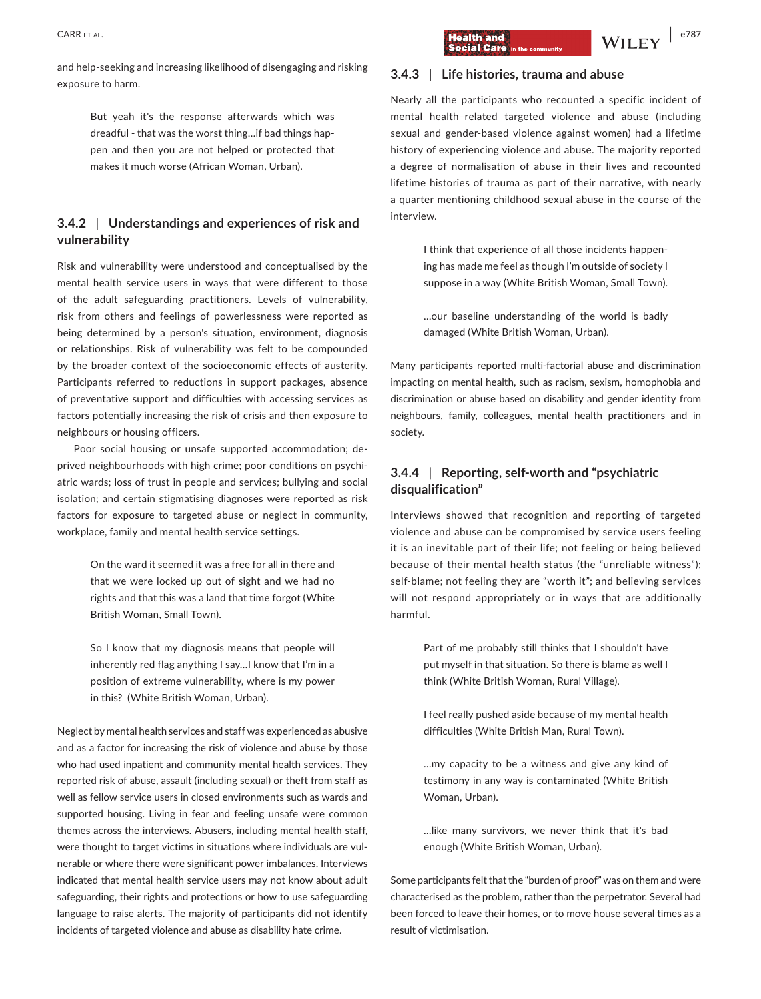and help‐seeking and increasing likelihood of disengaging and risking exposure to harm.

> But yeah it's the response afterwards which was dreadful ‐ that was the worst thing…if bad things hap‐ pen and then you are not helped or protected that makes it much worse (African Woman, Urban).

# **3.4.2** | **Understandings and experiences of risk and vulnerability**

Risk and vulnerability were understood and conceptualised by the mental health service users in ways that were different to those of the adult safeguarding practitioners. Levels of vulnerability, risk from others and feelings of powerlessness were reported as being determined by a person's situation, environment, diagnosis or relationships. Risk of vulnerability was felt to be compounded by the broader context of the socioeconomic effects of austerity. Participants referred to reductions in support packages, absence of preventative support and difficulties with accessing services as factors potentially increasing the risk of crisis and then exposure to neighbours or housing officers.

Poor social housing or unsafe supported accommodation; de‐ prived neighbourhoods with high crime; poor conditions on psychi‐ atric wards; loss of trust in people and services; bullying and social isolation; and certain stigmatising diagnoses were reported as risk factors for exposure to targeted abuse or neglect in community, workplace, family and mental health service settings.

> On the ward it seemed it was a free for all in there and that we were locked up out of sight and we had no rights and that this was a land that time forgot (White British Woman, Small Town).

> So I know that my diagnosis means that people will inherently red flag anything I say…I know that I'm in a position of extreme vulnerability, where is my power in this? (White British Woman, Urban).

Neglect by mental health services and staff was experienced as abusive and as a factor for increasing the risk of violence and abuse by those who had used inpatient and community mental health services. They reported risk of abuse, assault (including sexual) or theft from staff as well as fellow service users in closed environments such as wards and supported housing. Living in fear and feeling unsafe were common themes across the interviews. Abusers, including mental health staff, were thought to target victims in situations where individuals are vulnerable or where there were significant power imbalances. Interviews indicated that mental health service users may not know about adult safeguarding, their rights and protections or how to use safeguarding language to raise alerts. The majority of participants did not identify incidents of targeted violence and abuse as disability hate crime.

# **3.4.3** | **Life histories, trauma and abuse**

Nearly all the participants who recounted a specific incident of mental health–related targeted violence and abuse (including sexual and gender-based violence against women) had a lifetime history of experiencing violence and abuse. The majority reported a degree of normalisation of abuse in their lives and recounted lifetime histories of trauma as part of their narrative, with nearly a quarter mentioning childhood sexual abuse in the course of the interview.

> I think that experience of all those incidents happen‐ ing has made me feel as though I'm outside of society I suppose in a way (White British Woman, Small Town).

> …our baseline understanding of the world is badly damaged (White British Woman, Urban).

Many participants reported multi‐factorial abuse and discrimination impacting on mental health, such as racism, sexism, homophobia and discrimination or abuse based on disability and gender identity from neighbours, family, colleagues, mental health practitioners and in society.

# **3.4.4** | **Reporting, self‐worth and "psychiatric disqualification"**

Interviews showed that recognition and reporting of targeted violence and abuse can be compromised by service users feeling it is an inevitable part of their life; not feeling or being believed because of their mental health status (the "unreliable witness"); self-blame; not feeling they are "worth it"; and believing services will not respond appropriately or in ways that are additionally harmful.

> Part of me probably still thinks that I shouldn't have put myself in that situation. So there is blame as well I think (White British Woman, Rural Village).

> I feel really pushed aside because of my mental health difficulties (White British Man, Rural Town).

> …my capacity to be a witness and give any kind of testimony in any way is contaminated (White British Woman, Urban).

> …like many survivors, we never think that it's bad enough (White British Woman, Urban).

Some participants felt that the "burden of proof" was on them and were characterised as the problem, rather than the perpetrator. Several had been forced to leave their homes, or to move house several times as a result of victimisation.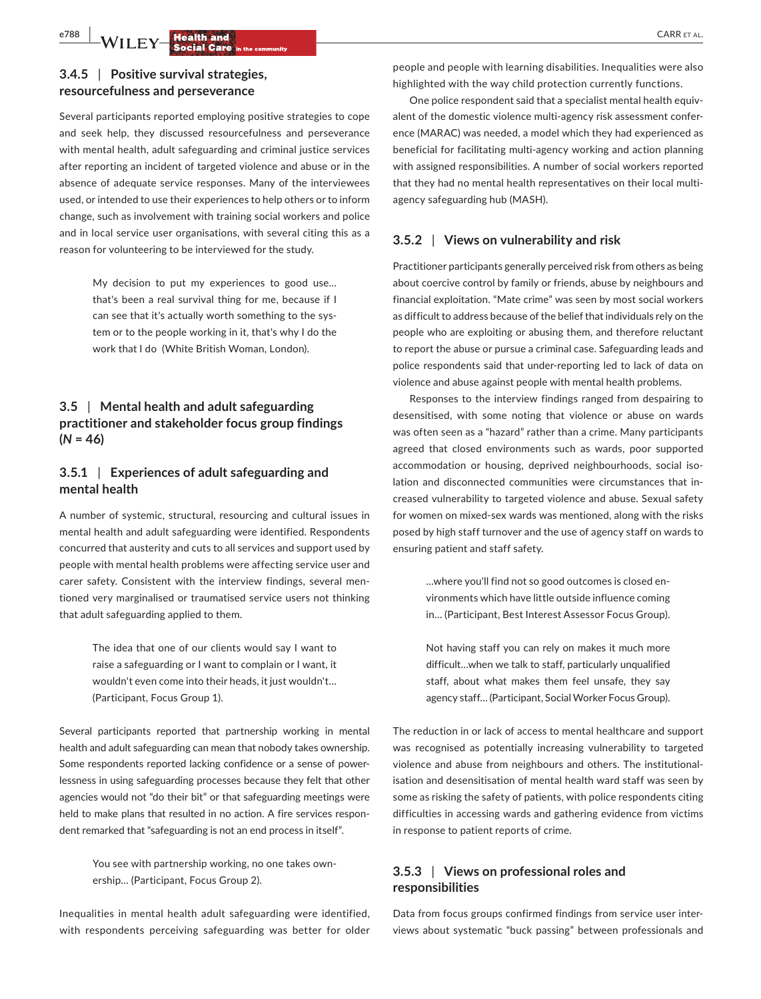# **e788 WILEY Health and <b>Resp**ected Care in the community of the contract of the contract of the contract of the contract of the contract of the contract of the contract of the contract of the contract of the contract o

# **3.4.5** | **Positive survival strategies, resourcefulness and perseverance**

Several participants reported employing positive strategies to cope and seek help, they discussed resourcefulness and perseverance with mental health, adult safeguarding and criminal justice services after reporting an incident of targeted violence and abuse or in the absence of adequate service responses. Many of the interviewees used, or intended to use their experiences to help others or to inform change, such as involvement with training social workers and police and in local service user organisations, with several citing this as a reason for volunteering to be interviewed for the study.

> My decision to put my experiences to good use… that's been a real survival thing for me, because if I can see that it's actually worth something to the sys‐ tem or to the people working in it, that's why I do the work that I do (White British Woman, London).

# **3.5** | **Mental health and adult safeguarding practitioner and stakeholder focus group findings**   $(N = 46)$

# **3.5.1** | **Experiences of adult safeguarding and mental health**

A number of systemic, structural, resourcing and cultural issues in mental health and adult safeguarding were identified. Respondents concurred that austerity and cuts to all services and support used by people with mental health problems were affecting service user and carer safety. Consistent with the interview findings, several men‐ tioned very marginalised or traumatised service users not thinking that adult safeguarding applied to them.

> The idea that one of our clients would say I want to raise a safeguarding or I want to complain or I want, it wouldn't even come into their heads, it just wouldn't… (Participant, Focus Group 1).

Several participants reported that partnership working in mental health and adult safeguarding can mean that nobody takes ownership. Some respondents reported lacking confidence or a sense of power‐ lessness in using safeguarding processes because they felt that other agencies would not "do their bit" or that safeguarding meetings were held to make plans that resulted in no action. A fire services respondent remarked that "safeguarding is not an end process in itself".

> You see with partnership working, no one takes own‐ ership… (Participant, Focus Group 2).

Inequalities in mental health adult safeguarding were identified, with respondents perceiving safeguarding was better for older

people and people with learning disabilities. Inequalities were also highlighted with the way child protection currently functions.

One police respondent said that a specialist mental health equivalent of the domestic violence multi-agency risk assessment conference (MARAC) was needed, a model which they had experienced as beneficial for facilitating multi‐agency working and action planning with assigned responsibilities. A number of social workers reported that they had no mental health representatives on their local multi‐ agency safeguarding hub (MASH).

#### **3.5.2** | **Views on vulnerability and risk**

Practitioner participants generally perceived risk from others as being about coercive control by family or friends, abuse by neighbours and financial exploitation. "Mate crime" was seen by most social workers as difficult to address because of the belief that individuals rely on the people who are exploiting or abusing them, and therefore reluctant to report the abuse or pursue a criminal case. Safeguarding leads and police respondents said that under‐reporting led to lack of data on violence and abuse against people with mental health problems.

Responses to the interview findings ranged from despairing to desensitised, with some noting that violence or abuse on wards was often seen as a "hazard" rather than a crime. Many participants agreed that closed environments such as wards, poor supported accommodation or housing, deprived neighbourhoods, social iso‐ lation and disconnected communities were circumstances that in‐ creased vulnerability to targeted violence and abuse. Sexual safety for women on mixed‐sex wards was mentioned, along with the risks posed by high staff turnover and the use of agency staff on wards to ensuring patient and staff safety.

> …where you'll find not so good outcomes is closed en‐ vironments which have little outside influence coming in… (Participant, Best Interest Assessor Focus Group).

> Not having staff you can rely on makes it much more difficult…when we talk to staff, particularly unqualified staff, about what makes them feel unsafe, they say agency staff… (Participant, Social Worker Focus Group).

The reduction in or lack of access to mental healthcare and support was recognised as potentially increasing vulnerability to targeted violence and abuse from neighbours and others. The institutional‐ isation and desensitisation of mental health ward staff was seen by some as risking the safety of patients, with police respondents citing difficulties in accessing wards and gathering evidence from victims in response to patient reports of crime.

# **3.5.3** | **Views on professional roles and responsibilities**

Data from focus groups confirmed findings from service user inter‐ views about systematic "buck passing" between professionals and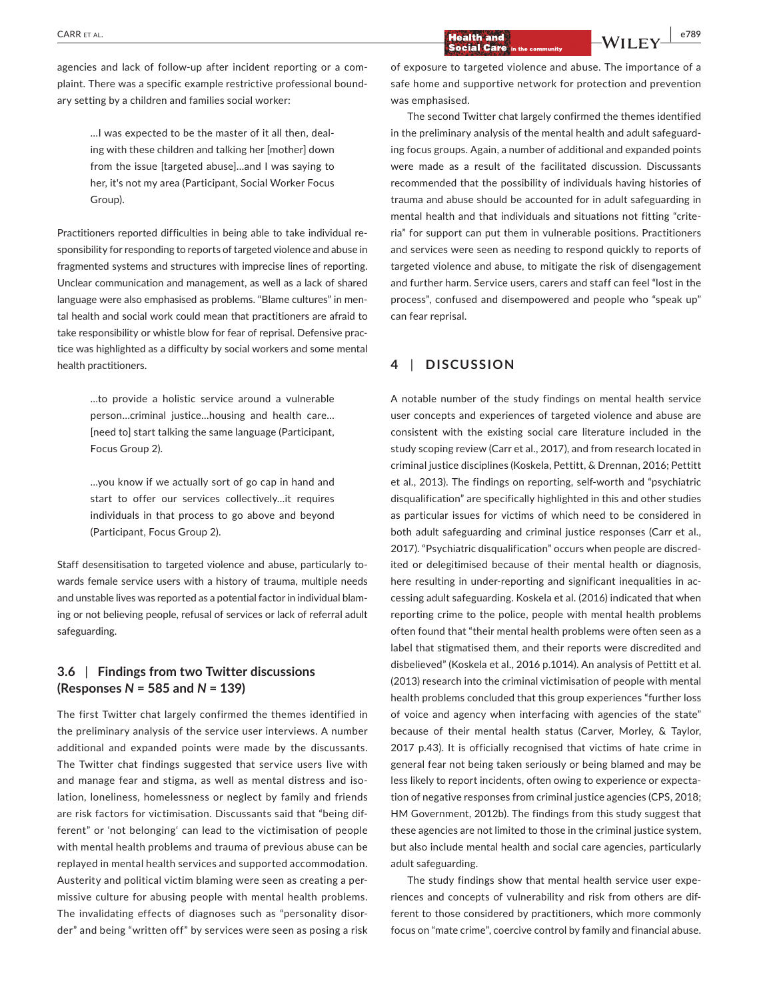agencies and lack of follow-up after incident reporting or a complaint. There was a specific example restrictive professional bound‐ ary setting by a children and families social worker:

> …I was expected to be the master of it all then, deal‐ ing with these children and talking her [mother] down from the issue [targeted abuse]…and I was saying to her, it's not my area (Participant, Social Worker Focus Group).

Practitioners reported difficulties in being able to take individual re‐ sponsibility for responding to reports of targeted violence and abuse in fragmented systems and structures with imprecise lines of reporting. Unclear communication and management, as well as a lack of shared language were also emphasised as problems. "Blame cultures" in men‐ tal health and social work could mean that practitioners are afraid to take responsibility or whistle blow for fear of reprisal. Defensive prac‐ tice was highlighted as a difficulty by social workers and some mental health practitioners.

> …to provide a holistic service around a vulnerable person…criminal justice…housing and health care… [need to] start talking the same language (Participant, Focus Group 2).

> …you know if we actually sort of go cap in hand and start to offer our services collectively…it requires individuals in that process to go above and beyond (Participant, Focus Group 2).

Staff desensitisation to targeted violence and abuse, particularly towards female service users with a history of trauma, multiple needs and unstable lives was reported as a potential factor in individual blam‐ ing or not believing people, refusal of services or lack of referral adult safeguarding.

# **3.6** | **Findings from two Twitter discussions (Responses** *N* **= 585 and** *N* **= 139)**

The first Twitter chat largely confirmed the themes identified in the preliminary analysis of the service user interviews. A number additional and expanded points were made by the discussants. The Twitter chat findings suggested that service users live with and manage fear and stigma, as well as mental distress and isolation, loneliness, homelessness or neglect by family and friends are risk factors for victimisation. Discussants said that "being dif‐ ferent" or 'not belonging' can lead to the victimisation of people with mental health problems and trauma of previous abuse can be replayed in mental health services and supported accommodation. Austerity and political victim blaming were seen as creating a per‐ missive culture for abusing people with mental health problems. The invalidating effects of diagnoses such as "personality disor‐ der" and being "written off" by services were seen as posing a risk

of exposure to targeted violence and abuse. The importance of a safe home and supportive network for protection and prevention was emphasised.

The second Twitter chat largely confirmed the themes identified in the preliminary analysis of the mental health and adult safeguard‐ ing focus groups. Again, a number of additional and expanded points were made as a result of the facilitated discussion. Discussants recommended that the possibility of individuals having histories of trauma and abuse should be accounted for in adult safeguarding in mental health and that individuals and situations not fitting "crite‐ ria" for support can put them in vulnerable positions. Practitioners and services were seen as needing to respond quickly to reports of targeted violence and abuse, to mitigate the risk of disengagement and further harm. Service users, carers and staff can feel "lost in the process", confused and disempowered and people who "speak up" can fear reprisal.

# **4** | **DISCUSSION**

A notable number of the study findings on mental health service user concepts and experiences of targeted violence and abuse are consistent with the existing social care literature included in the study scoping review (Carr et al., 2017), and from research located in criminal justice disciplines (Koskela, Pettitt, & Drennan, 2016; Pettitt et al., 2013). The findings on reporting, self‐worth and "psychiatric disqualification" are specifically highlighted in this and other studies as particular issues for victims of which need to be considered in both adult safeguarding and criminal justice responses (Carr et al., 2017). "Psychiatric disqualification" occurs when people are discred‐ ited or delegitimised because of their mental health or diagnosis, here resulting in under-reporting and significant inequalities in accessing adult safeguarding. Koskela et al. (2016) indicated that when reporting crime to the police, people with mental health problems often found that "their mental health problems were often seen as a label that stigmatised them, and their reports were discredited and disbelieved" (Koskela et al., 2016 p.1014). An analysis of Pettitt et al. (2013) research into the criminal victimisation of people with mental health problems concluded that this group experiences "further loss of voice and agency when interfacing with agencies of the state" because of their mental health status (Carver, Morley, & Taylor, 2017 p.43). It is officially recognised that victims of hate crime in general fear not being taken seriously or being blamed and may be less likely to report incidents, often owing to experience or expecta‐ tion of negative responses from criminal justice agencies (CPS, 2018; HM Government, 2012b). The findings from this study suggest that these agencies are not limited to those in the criminal justice system, but also include mental health and social care agencies, particularly adult safeguarding.

The study findings show that mental health service user expe‐ riences and concepts of vulnerability and risk from others are dif‐ ferent to those considered by practitioners, which more commonly focus on "mate crime", coercive control by family and financial abuse.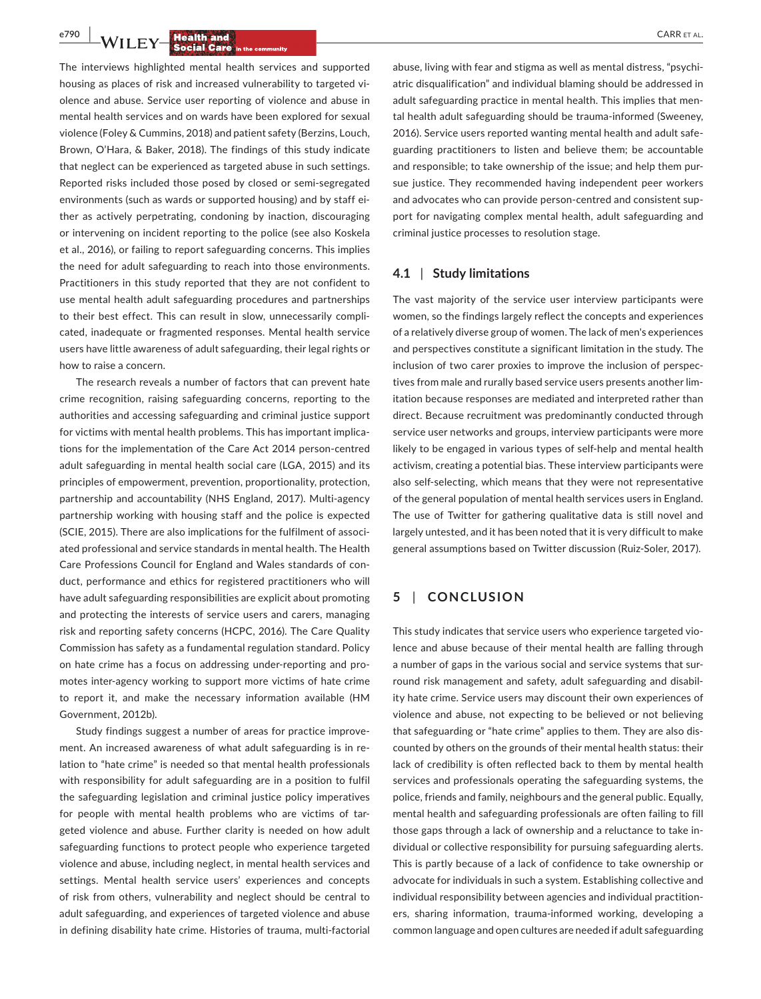**e<sup>790</sup> | <b>14/11 F.V.** Health and **by the compact of all the compact of all the compact of the compact of all the compact of**  $\mathbf{C}$ **ARR ET AL.** 

The interviews highlighted mental health services and supported housing as places of risk and increased vulnerability to targeted vi‐ olence and abuse. Service user reporting of violence and abuse in mental health services and on wards have been explored for sexual violence (Foley & Cummins, 2018) and patient safety (Berzins, Louch, Brown, O'Hara, & Baker, 2018). The findings of this study indicate that neglect can be experienced as targeted abuse in such settings. Reported risks included those posed by closed or semi‐segregated environments (such as wards or supported housing) and by staff ei‐ ther as actively perpetrating, condoning by inaction, discouraging or intervening on incident reporting to the police (see also Koskela et al., 2016), or failing to report safeguarding concerns. This implies the need for adult safeguarding to reach into those environments. Practitioners in this study reported that they are not confident to use mental health adult safeguarding procedures and partnerships to their best effect. This can result in slow, unnecessarily compli‐ cated, inadequate or fragmented responses. Mental health service users have little awareness of adult safeguarding, their legal rights or how to raise a concern.

The research reveals a number of factors that can prevent hate crime recognition, raising safeguarding concerns, reporting to the authorities and accessing safeguarding and criminal justice support for victims with mental health problems. This has important implications for the implementation of the Care Act 2014 person‐centred adult safeguarding in mental health social care (LGA, 2015) and its principles of empowerment, prevention, proportionality, protection, partnership and accountability (NHS England, 2017). Multi-agency partnership working with housing staff and the police is expected (SCIE, 2015). There are also implications for the fulfilment of associ‐ ated professional and service standards in mental health. The Health Care Professions Council for England and Wales standards of con‐ duct, performance and ethics for registered practitioners who will have adult safeguarding responsibilities are explicit about promoting and protecting the interests of service users and carers, managing risk and reporting safety concerns (HCPC, 2016). The Care Quality Commission has safety as a fundamental regulation standard. Policy on hate crime has a focus on addressing under‐reporting and pro‐ motes inter‐agency working to support more victims of hate crime to report it, and make the necessary information available (HM Government, 2012b).

Study findings suggest a number of areas for practice improve‐ ment. An increased awareness of what adult safeguarding is in re‐ lation to "hate crime" is needed so that mental health professionals with responsibility for adult safeguarding are in a position to fulfil the safeguarding legislation and criminal justice policy imperatives for people with mental health problems who are victims of targeted violence and abuse. Further clarity is needed on how adult safeguarding functions to protect people who experience targeted violence and abuse, including neglect, in mental health services and settings. Mental health service users' experiences and concepts of risk from others, vulnerability and neglect should be central to adult safeguarding, and experiences of targeted violence and abuse in defining disability hate crime. Histories of trauma, multi-factorial

abuse, living with fear and stigma as well as mental distress, "psychi‐ atric disqualification" and individual blaming should be addressed in adult safeguarding practice in mental health. This implies that men‐ tal health adult safeguarding should be trauma‐informed (Sweeney, 2016). Service users reported wanting mental health and adult safe‐ guarding practitioners to listen and believe them; be accountable and responsible; to take ownership of the issue; and help them pursue justice. They recommended having independent peer workers and advocates who can provide person-centred and consistent support for navigating complex mental health, adult safeguarding and criminal justice processes to resolution stage.

#### **4.1** | **Study limitations**

The vast majority of the service user interview participants were women, so the findings largely reflect the concepts and experiences of a relatively diverse group of women. The lack of men's experiences and perspectives constitute a significant limitation in the study. The inclusion of two carer proxies to improve the inclusion of perspec‐ tives from male and rurally based service users presents another lim‐ itation because responses are mediated and interpreted rather than direct. Because recruitment was predominantly conducted through service user networks and groups, interview participants were more likely to be engaged in various types of self‐help and mental health activism, creating a potential bias. These interview participants were also self‐selecting, which means that they were not representative of the general population of mental health services users in England. The use of Twitter for gathering qualitative data is still novel and largely untested, and it has been noted that it is very difficult to make general assumptions based on Twitter discussion (Ruiz‐Soler, 2017).

# **5** | **CONCLUSION**

This study indicates that service users who experience targeted vio‐ lence and abuse because of their mental health are falling through a number of gaps in the various social and service systems that sur‐ round risk management and safety, adult safeguarding and disabil‐ ity hate crime. Service users may discount their own experiences of violence and abuse, not expecting to be believed or not believing that safeguarding or "hate crime" applies to them. They are also dis‐ counted by others on the grounds of their mental health status: their lack of credibility is often reflected back to them by mental health services and professionals operating the safeguarding systems, the police, friends and family, neighbours and the general public. Equally, mental health and safeguarding professionals are often failing to fill those gaps through a lack of ownership and a reluctance to take in‐ dividual or collective responsibility for pursuing safeguarding alerts. This is partly because of a lack of confidence to take ownership or advocate for individuals in such a system. Establishing collective and individual responsibility between agencies and individual practitioners, sharing information, trauma‐informed working, developing a common language and open cultures are needed if adult safeguarding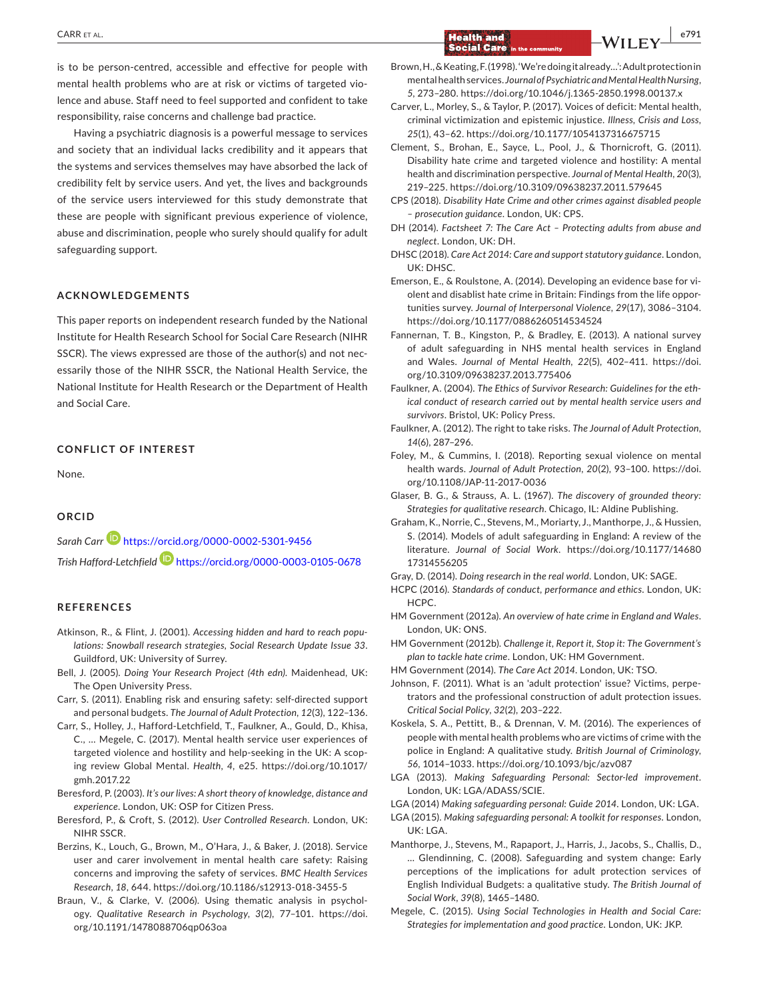is to be person-centred, accessible and effective for people with mental health problems who are at risk or victims of targeted violence and abuse. Staff need to feel supported and confident to take responsibility, raise concerns and challenge bad practice.

Having a psychiatric diagnosis is a powerful message to services and society that an individual lacks credibility and it appears that the systems and services themselves may have absorbed the lack of credibility felt by service users. And yet, the lives and backgrounds of the service users interviewed for this study demonstrate that these are people with significant previous experience of violence, abuse and discrimination, people who surely should qualify for adult safeguarding support.

#### **ACKNOWLEDGEMENTS**

This paper reports on independent research funded by the National Institute for Health Research School for Social Care Research (NIHR SSCR). The views expressed are those of the author(s) and not nec‐ essarily those of the NIHR SSCR, the National Health Service, the National Institute for Health Research or the Department of Health and Social Care.

## **CONFLICT OF INTEREST**

None.

#### **ORCID**

*Sarah Carr* <https://orcid.org/0000-0002-5301-9456> *Trish Hafford‐Letchfield* <https://orcid.org/0000-0003-0105-0678>

#### **REFERENCES**

- Atkinson, R., & Flint, J. (2001). *Accessing hidden and hard to reach popu‐ lations: Snowball research strategies, Social Research Update Issue 33*. Guildford, UK: University of Surrey.
- Bell, J. (2005). *Doing Your Research Project (4th edn)*. Maidenhead, UK: The Open University Press.
- Carr, S. (2011). Enabling risk and ensuring safety: self-directed support and personal budgets. *The Journal of Adult Protection*, *12*(3), 122–136.
- Carr, S., Holley, J., Hafford-Letchfield, T., Faulkner, A., Gould, D., Khisa, C., … Megele, C. (2017). Mental health service user experiences of targeted violence and hostility and help-seeking in the UK: A scop‐ ing review Global Mental. *Health*, *4*, e25. [https://doi.org/10.1017/](https://doi.org/10.1017/gmh.2017.22) [gmh.2017.22](https://doi.org/10.1017/gmh.2017.22)
- Beresford, P. (2003). *It's our lives: A short theory of knowledge, distance and experience*. London, UK: OSP for Citizen Press.
- Beresford, P., & Croft, S. (2012). *User Controlled Research*. London, UK: NIHR SSCR.
- Berzins, K., Louch, G., Brown, M., O'Hara, J., & Baker, J. (2018). Service user and carer involvement in mental health care safety: Raising concerns and improving the safety of services. *BMC Health Services Research*, *18*, 644. <https://doi.org/10.1186/s12913-018-3455-5>
- Braun, V., & Clarke, V. (2006). Using thematic analysis in psychol‐ ogy. *Qualitative Research in Psychology*, *3*(2), 77–101. [https://doi.](https://doi.org/10.1191/1478088706qp063oa) [org/10.1191/1478088706qp063oa](https://doi.org/10.1191/1478088706qp063oa)
- Brown,H.,&Keating,F.(1998).'We'redoingitalready…':Adultprotectionin mentalhealthservices. *Journal of Psychiatric and Mental Health Nursing*, *5*, 273–280. <https://doi.org/10.1046/j.1365-2850.1998.00137.x>
- Carver, L., Morley, S., & Taylor, P. (2017). Voices of deficit: Mental health, criminal victimization and epistemic injustice. *Illness, Crisis and Loss*, *25*(1), 43–62. <https://doi.org/10.1177/1054137316675715>
- Clement, S., Brohan, E., Sayce, L., Pool, J., & Thornicroft, G. (2011). Disability hate crime and targeted violence and hostility: A mental health and discrimination perspective. *Journal of Mental Health*, *20*(3), 219–225. <https://doi.org/10.3109/09638237.2011.579645>
- CPS (2018). *Disability Hate Crime and other crimes against disabled people – prosecution guidance*. London, UK: CPS.
- DH (2014). *Factsheet 7: The Care Act Protecting adults from abuse and neglect*. London, UK: DH.
- DHSC (2018). *Care Act 2014: Care and support statutory guidance*. London, UK: DHSC.
- Emerson, E., & Roulstone, A. (2014). Developing an evidence base for vi‐ olent and disablist hate crime in Britain: Findings from the life oppor‐ tunities survey. *Journal of Interpersonal Violence*, *29*(17), 3086–3104. <https://doi.org/10.1177/0886260514534524>
- Fannernan, T. B., Kingston, P., & Bradley, E. (2013). A national survey of adult safeguarding in NHS mental health services in England and Wales. *Journal of Mental Health*, *22*(5), 402–411. [https://doi.](https://doi.org/10.3109/09638237.2013.775406) [org/10.3109/09638237.2013.775406](https://doi.org/10.3109/09638237.2013.775406)
- Faulkner, A. (2004). *The Ethics of Survivor Research: Guidelines for the eth‐ ical conduct of research carried out by mental health service users and survivors*. Bristol, UK: Policy Press.
- Faulkner, A. (2012). The right to take risks. *The Journal of Adult Protection*, *14*(6), 287–296.
- Foley, M., & Cummins, I. (2018). Reporting sexual violence on mental health wards. *Journal of Adult Protection*, *20*(2), 93–100. [https://doi.](https://doi.org/10.1108/JAP-11-2017-0036) [org/10.1108/JAP-11-2017-0036](https://doi.org/10.1108/JAP-11-2017-0036)
- Glaser, B. G., & Strauss, A. L. (1967). *The discovery of grounded theory: Strategies for qualitative research*. Chicago, IL: Aldine Publishing.
- Graham, K., Norrie, C., Stevens, M., Moriarty, J., Manthorpe, J., & Hussien, S. (2014). Models of adult safeguarding in England: A review of the literature. *Journal of Social Work*. [https://doi.org/10.1177/14680](https://doi.org/10.1177/1468017314556205) [17314556205](https://doi.org/10.1177/1468017314556205)

Gray, D. (2014). *Doing research in the real world*. London, UK: SAGE.

- HCPC (2016). *Standards of conduct, performance and ethics*. London, UK: HCPC.
- HM Government (2012a). *An overview of hate crime in England and Wales*. London, UK: ONS.
- HM Government (2012b). *Challenge it, Report it, Stop it: The Government's plan to tackle hate crime*. London, UK: HM Government.
- HM Government (2014). *The Care Act 2014*. London, UK: TSO.
- Johnson, F. (2011). What is an 'adult protection' issue? Victims, perpe‐ trators and the professional construction of adult protection issues. *Critical Social Policy*, *32*(2), 203–222.
- Koskela, S. A., Pettitt, B., & Drennan, V. M. (2016). The experiences of people with mental health problems who are victims of crime with the police in England: A qualitative study. *British Journal of Criminology*, *56*, 1014–1033. <https://doi.org/10.1093/bjc/azv087>
- LGA (2013). *Making Safeguarding Personal: Sector‐led improvement*. London, UK: LGA/ADASS/SCIE.
- LGA (2014) *Making safeguarding personal: Guide 2014*. London, UK: LGA.
- LGA (2015). *Making safeguarding personal: A toolkit for responses*. London, UK: LGA.
- Manthorpe, J., Stevens, M., Rapaport, J., Harris, J., Jacobs, S., Challis, D., … Glendinning, C. (2008). Safeguarding and system change: Early perceptions of the implications for adult protection services of English Individual Budgets: a qualitative study. *The British Journal of Social Work*, *39*(8), 1465–1480.
- Megele, C. (2015). *Using Social Technologies in Health and Social Care: Strategies for implementation and good practice*. London, UK: JKP.